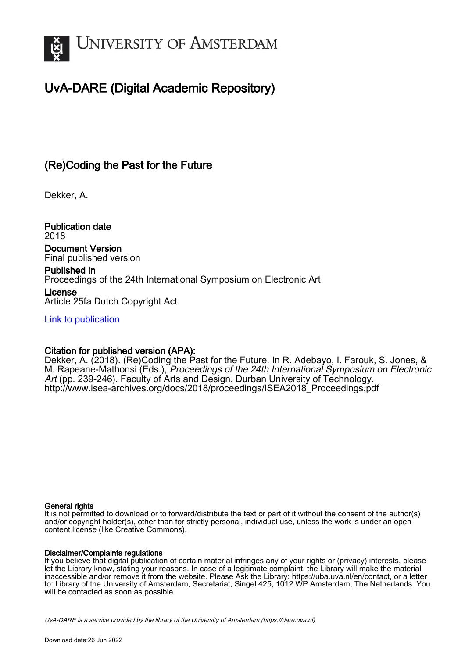

# UvA-DARE (Digital Academic Repository)

# (Re)Coding the Past for the Future

Dekker, A.

Publication date 2018

Document Version Final published version

Published in Proceedings of the 24th International Symposium on Electronic Art

License Article 25fa Dutch Copyright Act

[Link to publication](https://dare.uva.nl/personal/pure/en/publications/recoding-the-past-for-the-future(d91ac537-874d-427a-8c60-8fbff9a23921).html)

# Citation for published version (APA):

Dekker, A. (2018). (Re)Coding the Past for the Future. In R. Adebayo, I. Farouk, S. Jones, & M. Rapeane-Mathonsi (Eds.), Proceedings of the 24th International Symposium on Electronic Art (pp. 239-246). Faculty of Arts and Design, Durban University of Technology. [http://www.isea-archives.org/docs/2018/proceedings/ISEA2018\\_Proceedings.pdf](http://www.isea-archives.org/docs/2018/proceedings/ISEA2018_Proceedings.pdf)

## General rights

It is not permitted to download or to forward/distribute the text or part of it without the consent of the author(s) and/or copyright holder(s), other than for strictly personal, individual use, unless the work is under an open content license (like Creative Commons).

## Disclaimer/Complaints regulations

If you believe that digital publication of certain material infringes any of your rights or (privacy) interests, please let the Library know, stating your reasons. In case of a legitimate complaint, the Library will make the material inaccessible and/or remove it from the website. Please Ask the Library: https://uba.uva.nl/en/contact, or a letter to: Library of the University of Amsterdam, Secretariat, Singel 425, 1012 WP Amsterdam, The Netherlands. You will be contacted as soon as possible.

UvA-DARE is a service provided by the library of the University of Amsterdam (http*s*://dare.uva.nl)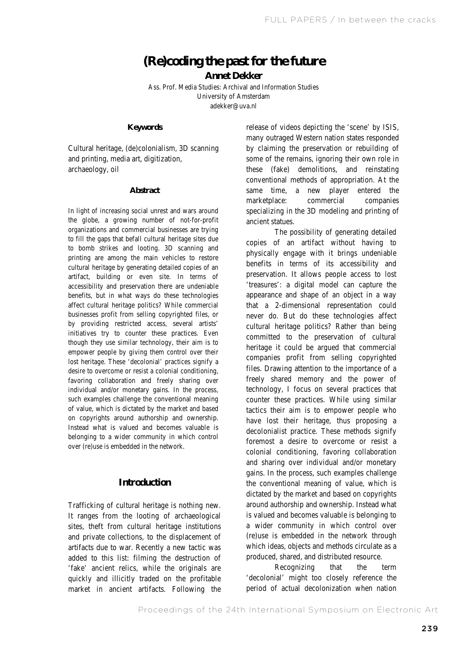# **(Re)coding the past for the future**

**Annet Dekker** 

Ass. Prof. Media Studies: Archival and Information Studies University of Amsterdam adekker@uva.nl

## **Keywords**

Cultural heritage, (de)colonialism, 3D scanning and printing, media art, digitization, archaeology, oil

#### **Abstract**

In light of increasing social unrest and wars around the globe, a growing number of not-for-profit organizations and commercial businesses are trying to fill the gaps that befall cultural heritage sites due to bomb strikes and looting. 3D scanning and printing are among the main vehicles to restore cultural heritage by generating detailed copies of an artifact, building or even site. In terms of accessibility and preservation there are undeniable benefits, but in what ways do these technologies affect cultural heritage politics? While commercial businesses profit from selling copyrighted files, or by providing restricted access, several artists' initiatives try to counter these practices. Even though they use similar technology, their aim is to empower people by giving them control over their lost heritage. These 'decolonial' practices signify a desire to overcome or resist a colonial conditioning, favoring collaboration and freely sharing over individual and/or monetary gains. In the process, such examples challenge the conventional meaning of value, which is dictated by the market and based on copyrights around authorship and ownership. Instead what is valued and becomes valuable is belonging to a wider community in which control over (re)use is embedded in the network.

## **Introduction**

Trafficking of cultural heritage is nothing new. It ranges from the looting of archaeological sites, theft from cultural heritage institutions and private collections, to the displacement of artifacts due to war. Recently a new tactic was added to this list: filming the destruction of 'fake' ancient relics, while the originals are quickly and illicitly traded on the profitable market in ancient artifacts. Following the

same time, release of videos depicting the 'scene' by ISIS, many outraged Western nation states responded by claiming the preservation or rebuilding of some of the remains, ignoring their own role in these (fake) demolitions, and reinstating conventional methods of appropriation. At the a new player entered the marketplace: commercial companies specializing in the 3D modeling and printing of ancient statues.

The possibility of generating detailed copies of an artifact without having to physically engage with it brings undeniable benefits in terms of its accessibility and preservation. It allows people access to lost 'treasures': a digital model can capture the appearance and shape of an object in a way that a 2-dimensional representation could never do. But do these technologies affect cultural heritage politics? Rather than being committed to the preservation of cultural heritage it could be argued that commercial companies profit from selling copyrighted files. Drawing attention to the importance of a freely shared memory and the power of technology, I focus on several practices that counter these practices. While using similar tactics their aim is to empower people who have lost their heritage, thus proposing a decolonialist practice. These methods signify foremost a desire to overcome or resist a colonial conditioning, favoring collaboration and sharing over individual and/or monetary gains. In the process, such examples challenge the conventional meaning of value, which is dictated by the market and based on copyrights around authorship and ownership. Instead what is valued and becomes valuable is belonging to a wider community in which control over (re)use is embedded in the network through which ideas, objects and methods circulate as a produced, shared, and distributed resource.

Recognizing that the term 'decolonial' might too closely reference the period of actual decolonization when nation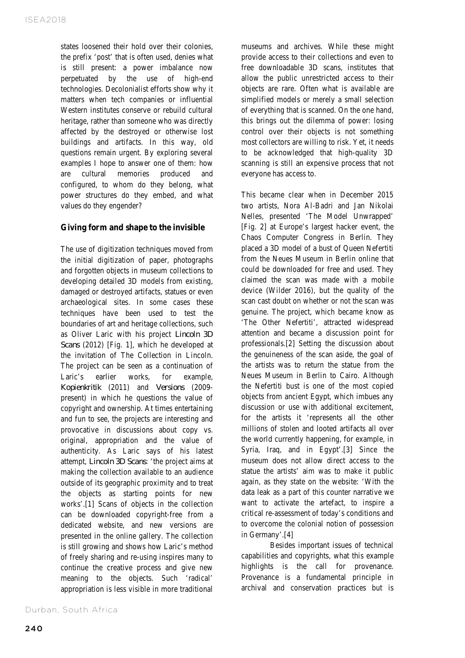states loosened their hold over their colonies, the prefix 'post' that is often used, denies what is still present: a power imbalance now perpetuated by the use of high-end technologies. Decolonialist efforts show why it matters when tech companies or influential Western institutes conserve or rebuild cultural heritage, rather than someone who was directly affected by the destroyed or otherwise lost buildings and artifacts. In this way, old questions remain urgent. By exploring several examples I hope to answer one of them: how are cultural memories produced and configured, to whom do they belong, what power structures do they embed, and what values do they engender?

# **Giving form and shape to the invisible**

The use of digitization techniques moved from the initial digitization of paper, photographs and forgotten objects in museum collections to developing detailed 3D models from existing, damaged or destroyed artifacts, statues or even archaeological sites. In some cases these techniques have been used to test the boundaries of art and heritage collections, such as Oliver Laric with his project *Lincoln 3D Scans* (2012) [Fig. 1], which he developed at the invitation of The Collection in Lincoln. The project can be seen as a continuation of Laric's earlier works, for example, *Kopienkritik* (2011) and *Versions* (2009 present) in which he questions the value of copyright and ownership. At times entertaining and fun to see, the projects are interesting and provocative in discussions about copy vs. original, appropriation and the value of authenticity. As Laric says of his latest attempt, *Lincoln 3D Scans*: 'the project aims at making the collection available to an audience outside of its geographic proximity and to treat the objects as starting points for new works'.[1] Scans of objects in the collection can be downloaded copyright-free from a dedicated website, and new versions are presented in the online gallery. The collection is still growing and shows how Laric's method of freely sharing and re-using inspires many to continue the creative process and give new meaning to the objects. Such 'radical' appropriation is less visible in more traditional

Durban, South Africa

museums and archives. While these might provide access to their collections and even to free downloadable 3D scans, institutes that allow the public unrestricted access to their objects are rare. Often what is available are simplified models or merely a small selection of everything that is scanned. On the one hand, this brings out the dilemma of power: losing control over their objects is not something most collectors are willing to risk. Yet, it needs to be acknowledged that high-quality 3D scanning is still an expensive process that not everyone has access to.

This became clear when in December 2015 two artists, Nora Al-Badri and Jan Nikolai Nelles, presented 'The Model Unwrapped' [Fig. 2] at Europe's largest hacker event, the Chaos Computer Congress in Berlin. They placed a 3D model of a bust of Queen Nefertiti from the Neues Museum in Berlin online that could be downloaded for free and used. They claimed the scan was made with a mobile device (Wilder 2016), but the quality of the scan cast doubt on whether or not the scan was genuine. The project, which became know as 'The Other Nefertiti', attracted widespread attention and became a discussion point for professionals.[2] Setting the discussion about the genuineness of the scan aside, the goal of the artists was to return the statue from the Neues Museum in Berlin to Cairo. Although the Nefertiti bust is one of the most copied objects from ancient Egypt, which imbues any discussion or use with additional excitement, for the artists it 'represents all the other millions of stolen and looted artifacts all over the world currently happening, for example, in Syria, Iraq, and in Egypt'.[3] Since the museum does not allow direct access to the statue the artists' aim was to make it public again, as they state on the website: 'With the data leak as a part of this counter narrative we want to activate the artefact, to inspire a critical re-assessment of today's conditions and to overcome the colonial notion of possession in Germany'.[4]

Besides important issues of technical capabilities and copyrights, what this example highlights is the call for provenance. Provenance is a fundamental principle in archival and conservation practices but is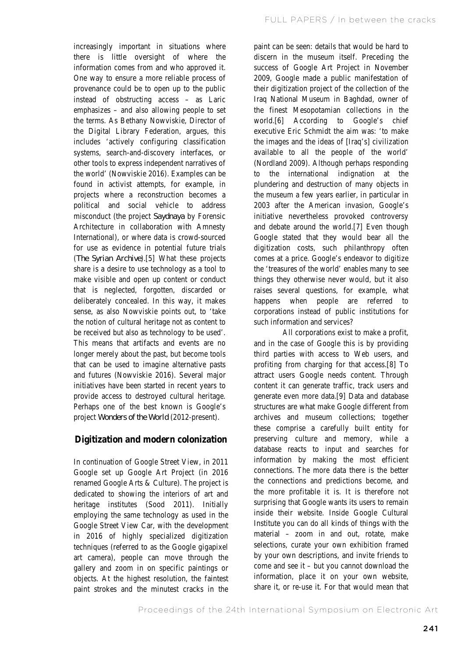increasingly important in situations where there is little oversight of where the information comes from and who approved it. One way to ensure a more reliable process of provenance could be to open up to the public instead of obstructing access – as Laric emphasizes – and also allowing people to set the terms. As Bethany Nowviskie, Director of the Digital Library Federation, argues, this includes 'actively configuring classification systems, search-and-discovery interfaces, or other tools to express independent narratives of the world' (Nowviskie 2016). Examples can be found in activist attempts, for example, in projects where a reconstruction becomes a political and social vehicle to address misconduct (the project *Saydnaya* by Forensic Architecture in collaboration with Amnesty International), or where data is crowd-sourced for use as evidence in potential future trials (*The Syrian Archive*).[5] What these projects share is a desire to use technology as a tool to make visible and open up content or conduct that is neglected, forgotten, discarded or deliberately concealed. In this way, it makes sense, as also Nowviskie points out, to 'take the notion of cultural heritage not as content to be received but also as technology to be used'. This means that artifacts and events are no longer merely about the past, but become tools that can be used to imagine alternative pasts and futures (Nowviskie 2016). Several major initiatives have been started in recent years to provide access to destroyed cultural heritage. Perhaps one of the best known is Google's project *Wonders of the World* (2012-present).

# **Digitization and modern colonization**

In continuation of Google Street View, in 2011 Google set up Google Art Project (in 2016 renamed Google Arts & Culture). The project is dedicated to showing the interiors of art and heritage institutes (Sood 2011). Initially employing the same technology as used in the Google Street View Car, with the development in 2016 of highly specialized digitization techniques (referred to as the Google gigapixel art camera), people can move through the gallery and zoom in on specific paintings or objects. At the highest resolution, the faintest paint strokes and the minutest cracks in the

paint can be seen: details that would be hard to discern in the museum itself. Preceding the success of Google Art Project in November 2009, Google made a public manifestation of their digitization project of the collection of the Iraq National Museum in Baghdad, owner of the finest Mesopotamian collections in the world.[6] According to Google's chief executive Eric Schmidt the aim was: 'to make the images and the ideas of [Iraq's] civilization available to all the people of the world' (Nordland 2009). Although perhaps responding to the international indignation at the plundering and destruction of many objects in the museum a few years earlier, in particular in 2003 after the American invasion, Google's initiative nevertheless provoked controversy and debate around the world.[7] Even though Google stated that they would bear all the digitization costs, such philanthropy often comes at a price. Google's endeavor to digitize the 'treasures of the world' enables many to see things they otherwise never would, but it also raises several questions, for example, what happens when people are referred to corporations instead of public institutions for such information and services?

All corporations exist to make a profit, and in the case of Google this is by providing third parties with access to Web users, and profiting from charging for that access.[8] To attract users Google needs content. Through content it can generate traffic, track users and generate even more data.[9] Data and database structures are what make Google different from archives and museum collections; together these comprise a carefully built entity for preserving culture and memory, while a database reacts to input and searches for information by making the most efficient connections. The more data there is the better the connections and predictions become, and the more profitable it is. It is therefore not surprising that Google wants its users to remain inside their website. Inside Google Cultural Institute you can do all kinds of things with the material – zoom in and out, rotate, make selections, curate your own exhibition framed by your own descriptions, and invite friends to come and see it – but you cannot download the information, place it on your own website, share it, or re-use it. For that would mean that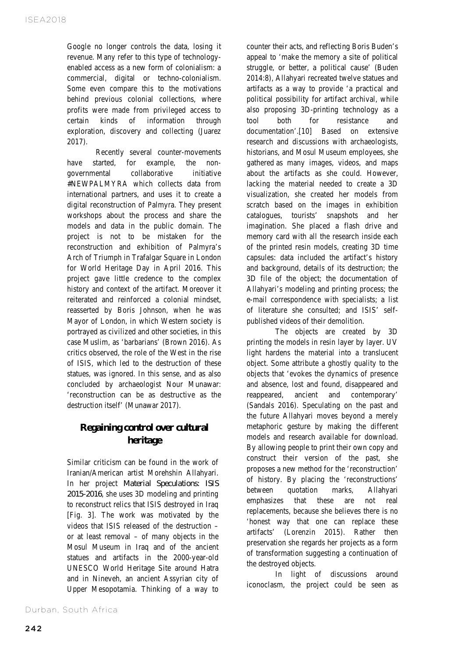Google no longer controls the data, losing it revenue. Many refer to this type of technologyenabled access as a new form of colonialism: a commercial, digital or techno-colonialism. Some even compare this to the motivations behind previous colonial collections, where profits were made from privileged access to certain kinds of information through exploration, discovery and collecting (Juarez 2017).

Recently several counter-movements have started, for example, the nongovernmental collaborative initiative #NEWPALMYRA which collects data from international partners, and uses it to create a digital reconstruction of Palmyra. They present workshops about the process and share the models and data in the public domain. The project is not to be mistaken for the reconstruction and exhibition of Palmyra's Arch of Triumph in Trafalgar Square in London for World Heritage Day in April 2016. This project gave little credence to the complex history and context of the artifact. Moreover it reiterated and reinforced a colonial mindset, reasserted by Boris Johnson, when he was Mayor of London, in which Western society is portrayed as civilized and other societies, in this case Muslim, as 'barbarians' (Brown 2016). As critics observed, the role of the West in the rise of ISIS, which led to the destruction of these statues, was ignored. In this sense, and as also concluded by archaeologist Nour Munawar: 'reconstruction can be as destructive as the destruction itself' (Munawar 2017).

# **Regaining control over cultural heritage**

Similar criticism can be found in the work of Iranian/American artist Morehshin Allahyari. In her project *Material Speculations: ISIS 2015-2016*, she uses 3D modeling and printing to reconstruct relics that ISIS destroyed in Iraq [Fig. 3]. The work was motivated by the videos that ISIS released of the destruction – or at least removal – of many objects in the Mosul Museum in Iraq and of the ancient statues and artifacts in the 2000-year-old UNESCO World Heritage Site around Hatra and in Nineveh, an ancient Assyrian city of Upper Mesopotamia. Thinking of a way to

Durban, South Africa

counter their acts, and reflecting Boris Buden's appeal to 'make the memory a site of political struggle, or better, a political cause' (Buden 2014:8), Allahyari recreated twelve statues and artifacts as a way to provide 'a practical and political possibility for artifact archival, while also proposing 3D-printing technology as a tool both for resistance and documentation'.[10] Based on extensive research and discussions with archaeologists, historians, and Mosul Museum employees, she gathered as many images, videos, and maps about the artifacts as she could. However, lacking the material needed to create a 3D visualization, she created her models from scratch based on the images in exhibition catalogues, tourists' snapshots and her imagination. She placed a flash drive and memory card with all the research inside each of the printed resin models, creating 3D time capsules: data included the artifact's history and background, details of its destruction; the 3D file of the object; the documentation of Allahyari's modeling and printing process; the e-mail correspondence with specialists; a list of literature she consulted; and ISIS' selfpublished videos of their demolition.

The objects are created by 3D printing the models in resin layer by layer. UV light hardens the material into a translucent object. Some attribute a ghostly quality to the objects that 'evokes the dynamics of presence and absence, lost and found, disappeared and reappeared, ancient and contemporary' (Sandals 2016). Speculating on the past and the future Allahyari moves beyond a merely metaphoric gesture by making the different models and research available for download. By allowing people to print their own copy and construct their version of the past, she proposes a new method for the 'reconstruction' of history. By placing the 'reconstructions' between quotation marks, Allahyari emphasizes that these are not real replacements, because she believes there is no 'honest way that one can replace these artifacts' (Lorenzin 2015). Rather then preservation she regards her projects as a form of transformation suggesting a continuation of the destroyed objects.

In light of discussions around iconoclasm, the project could be seen as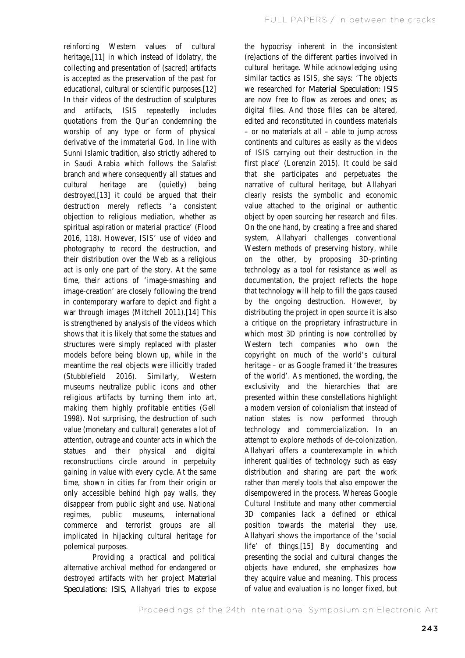reinforcing Western values of cultural heritage,[11] in which instead of idolatry, the collecting and presentation of (sacred) artifacts is accepted as the preservation of the past for educational, cultural or scientific purposes.[12] In their videos of the destruction of sculptures and artifacts, ISIS repeatedly includes quotations from the Qur'an condemning the worship of any type or form of physical derivative of the immaterial God. In line with Sunni Islamic tradition, also strictly adhered to in Saudi Arabia which follows the Salafist branch and where consequently all statues and cultural heritage are (quietly) being destroyed,[13] it could be argued that their destruction merely reflects 'a consistent objection to religious mediation, whether as spiritual aspiration or material practice' (Flood 2016, 118). However, ISIS' use of video and photography to record the destruction, and their distribution over the Web as a religious act is only one part of the story. At the same time, their actions of 'image-smashing and image-creation' are closely following the trend in contemporary warfare to depict and fight a war through images (Mitchell 2011).[14] This is strengthened by analysis of the videos which shows that it is likely that some the statues and structures were simply replaced with plaster models before being blown up, while in the meantime the real objects were illicitly traded (Stubblefield 2016). Similarly, Western museums neutralize public icons and other religious artifacts by turning them into art, making them highly profitable entities (Gell 1998). Not surprising, the destruction of such value (monetary and cultural) generates a lot of attention, outrage and counter acts in which the statues and their physical and digital reconstructions circle around in perpetuity gaining in value with every cycle. At the same time, shown in cities far from their origin or only accessible behind high pay walls, they disappear from public sight and use. National regimes, public museums, international commerce and terrorist groups are all implicated in hijacking cultural heritage for polemical purposes.

Providing a practical and political alternative archival method for endangered or destroyed artifacts with her project *Material Speculations: ISIS*, Allahyari tries to expose

the hypocrisy inherent in the inconsistent (re)actions of the different parties involved in cultural heritage. While acknowledging using similar tactics as ISIS, she says: 'The objects we researched for *Material Speculation: ISIS* are now free to flow as zeroes and ones; as digital files. And those files can be altered, edited and reconstituted in countless materials – or no materials at all – able to jump across continents and cultures as easily as the videos of ISIS carrying out their destruction in the first place' (Lorenzin 2015). It could be said that she participates and perpetuates the narrative of cultural heritage, but Allahyari clearly resists the symbolic and economic value attached to the original or authentic object by open sourcing her research and files. On the one hand, by creating a free and shared system, Allahyari challenges conventional Western methods of preserving history, while on the other, by proposing 3D-printing technology as a tool for resistance as well as documentation, the project reflects the hope that technology will help to fill the gaps caused by the ongoing destruction. However, by distributing the project in open source it is also a critique on the proprietary infrastructure in which most 3D printing is now controlled by Western tech companies who own the copyright on much of the world's cultural heritage – or as Google framed it 'the treasures of the world'. As mentioned, the wording, the exclusivity and the hierarchies that are presented within these constellations highlight a modern version of colonialism that instead of nation states is now performed through technology and commercialization. In an attempt to explore methods of de-colonization, Allahyari offers a counterexample in which inherent qualities of technology such as easy distribution and sharing are part the work rather than merely tools that also empower the disempowered in the process. Whereas Google Cultural Institute and many other commercial 3D companies lack a defined or ethical position towards the material they use, Allahyari shows the importance of the 'social life' of things.[15] By documenting and presenting the social and cultural changes the objects have endured, she emphasizes how they acquire value and meaning. This process of value and evaluation is no longer fixed, but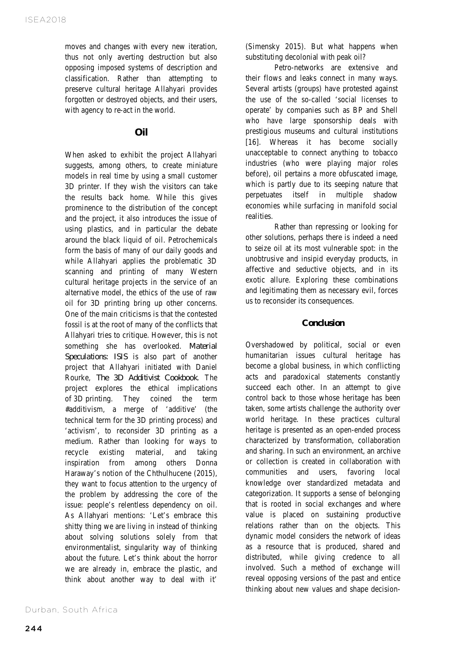moves and changes with every new iteration, thus not only averting destruction but also opposing imposed systems of description and classification. Rather than attempting to preserve cultural heritage Allahyari provides forgotten or destroyed objects, and their users, with agency to re-act in the world.

# **Oil**

When asked to exhibit the project Allahyari suggests, among others, to create miniature models in real time by using a small customer 3D printer. If they wish the visitors can take the results back home. While this gives prominence to the distribution of the concept and the project, it also introduces the issue of using plastics, and in particular the debate around the black liquid of oil. Petrochemicals form the basis of many of our daily goods and while Allahyari applies the problematic 3D scanning and printing of many Western cultural heritage projects in the service of an alternative model, the ethics of the use of raw oil for 3D printing bring up other concerns. One of the main criticisms is that the contested fossil is at the root of many of the conflicts that Allahyari tries to critique. However, this is not something she has overlooked. *Material Speculations: ISIS* is also part of another project that Allahyari initiated with Daniel Rourke, *The 3D Additivist Cookbook*. The project explores the ethical implications of 3D printing. They coined the term #additivism, a merge of 'additive' (the technical term for the 3D printing process) and 'activism', to reconsider 3D printing as a medium. Rather than looking for ways to recycle existing material, and taking inspiration from among others Donna Haraway's notion of the Chthulhucene (2015), they want to focus attention to the urgency of the problem by addressing the core of the issue: people's relentless dependency on oil. As Allahyari mentions: 'Let's embrace this shitty thing we are living in instead of thinking about solving solutions solely from that environmentalist, singularity way of thinking about the future. Let's think about the horror we are already in, embrace the plastic, and think about another way to deal with it'

Durban, South Africa

(Simensky 2015). But what happens when substituting decolonial with peak oil?

Petro-networks are extensive and their flows and leaks connect in many ways. Several artists (groups) have protested against the use of the so-called 'social licenses to operate' by companies such as BP and Shell who have large sponsorship deals with prestigious museums and cultural institutions [16]. Whereas it has become socially unacceptable to connect anything to tobacco industries (who were playing major roles before), oil pertains a more obfuscated image, which is partly due to its seeping nature that perpetuates itself in multiple shadow economies while surfacing in manifold social realities.

Rather than repressing or looking for other solutions, perhaps there is indeed a need to seize oil at its most vulnerable spot: in the unobtrusive and insipid everyday products, in affective and seductive objects, and in its exotic allure. Exploring these combinations and legitimating them as necessary evil, forces us to reconsider its consequences.

## **Conclusion**

Overshadowed by political, social or even humanitarian issues cultural heritage has become a global business, in which conflicting acts and paradoxical statements constantly succeed each other. In an attempt to give control back to those whose heritage has been taken, some artists challenge the authority over world heritage. In these practices cultural heritage is presented as an open-ended process characterized by transformation, collaboration and sharing. In such an environment, an archive or collection is created in collaboration with communities and users, favoring local knowledge over standardized metadata and categorization. It supports a sense of belonging that is rooted in social exchanges and where value is placed on sustaining productive relations rather than on the objects. This dynamic model considers the network of ideas as a resource that is produced, shared and distributed, while giving credence to all involved. Such a method of exchange will reveal opposing versions of the past and entice thinking about new values and shape decision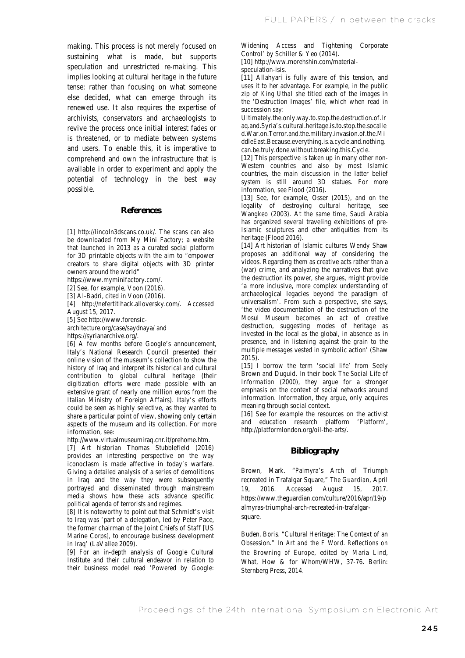making. This process is not merely focused on sustaining what is made, but supports speculation and unrestricted re-making. This implies looking at cultural heritage in the future tense: rather than focusing on what someone else decided, what can emerge through its renewed use. It also requires the expertise of archivists, conservators and archaeologists to revive the process once initial interest fades or is threatened, or to mediate between systems and users. To enable this, it is imperative to comprehend and own the infrastructure that is available in order to experiment and apply the potential of technology in the best way possible.

#### **References**

[1] http://lincoln3dscans.co.uk/. The scans can also be downloaded from My Mini Factory; a website that launched in 2013 as a curated social platform for 3D printable objects with the aim to "empower creators to share digital objects with 3D printer owners around the world"

https://www.myminifactory.com/.

[2] See, for example, Voon (2016).

[3] Al-Badri, cited in Voon (2016).

[4] http://nefertitihack.alloversky.com/. Accessed August 15, 2017.

[5] See http://www.forensic-

architecture.org/case/saydnaya/ and

https://syrianarchive.org/.

[6] A few months before Google's announcement, Italy's National Research Council presented their online vision of the museum's collection to show the history of Iraq and interpret its historical and cultural contribution to global cultural heritage (their digitization efforts were made possible with an extensive grant of nearly one million euros from the Italian Ministry of Foreign Affairs). Italy's efforts could be seen as highly selective, as they wanted to share a particular point of view, showing only certain aspects of the museum and its collection. For more information, see:

http://www.virtualmuseumiraq.cnr.it/prehome.htm.

[7] Art historian Thomas Stubblefield (2016) provides an interesting perspective on the way iconoclasm is made affective in today's warfare. Giving a detailed analysis of a series of demolitions in Iraq and the way they were subsequently portrayed and disseminated through mainstream media shows how these acts advance specific political agenda of terrorists and regimes.

[8] It is noteworthy to point out that Schmidt's visit to Iraq was 'part of a delegation, led by Peter Pace, the former chairman of the Joint Chiefs of Staff [US Marine Corps], to encourage business development in Iraq' (LaVallee 2009).

[9] For an in-depth analysis of Google Cultural Institute and their cultural endeavor in relation to their business model read 'Powered by Google:

Widening Access and Tightening Corporate Control' by Schiller & Yeo (2014).

[10] http://www.morehshin.com/materialspeculation-isis.

[11] Allahyari is fully aware of this tension, and uses it to her advantage. For example, in the public zip of *King Uthal* she titled each of the images in the 'Destruction Images' file, which when read in succession say:

Ultimately.the.only.way.to.stop.the.destruction.of.Ir aq.and.Syria's.cultural.heritage.is.to.stop.the.socalle d.War.on.Terror.and.the.military.invasion.of.the.Mi ddleEast.Because.everything.is.a.cycle.and.nothing. can.be.truly.done.without.breaking.this.Cycle.

[12] This perspective is taken up in many other non-Western countries and also by most Islamic countries, the main discussion in the latter belief system is still around 3D statues. For more information, see Flood (2016).

[13] See, for example, Osser (2015), and on the legality of destroying cultural heritage, see Wangkeo (2003). At the same time, Saudi Arabia has organized several traveling exhibitions of pre-Islamic sculptures and other antiquities from its heritage (Flood 2016).

[14] Art historian of Islamic cultures Wendy Shaw proposes an additional way of considering the videos. Regarding them as creative acts rather than a (war) crime, and analyzing the narratives that give the destruction its power, she argues, might provide 'a more inclusive, more complex understanding of archaeological legacies beyond the paradigm of universalism'. From such a perspective, she says, 'the video documentation of the destruction of the Mosul Museum becomes an act of creative destruction, suggesting modes of heritage as invested in the local as the global, in absence as in presence, and in listening against the grain to the multiple messages vested in symbolic action' (Shaw  $2015$ ).

[15] I borrow the term 'social life' from Seely Brown and Duguid. In their book *The Social Life of Information* (2000), they argue for a stronger emphasis on the context of social networks around information. Information, they argue, only acquires meaning through social context.

[16] See for example the resources on the activist and education research platform 'Platform', http://platformlondon.org/oil-the-arts/.

#### **Bibliography**

Brown, Mark. "Palmyra's Arch of Triumph recreated in Trafalgar Square," *The Guardian*, April 19, 2016. Accessed August 15, 2017. https://www.theguardian.com/culture/2016/apr/19/p almyras-triumphal-arch-recreated-in-trafalgarsquare.

Buden, Boris. "Cultural Heritage: The Context of an Obsession." In *Art and the F Word. Reflections on the Browning of Europe*, edited by Maria Lind, What, How & for Whom/WHW, 37-76. Berlin: Sternberg Press, 2014.